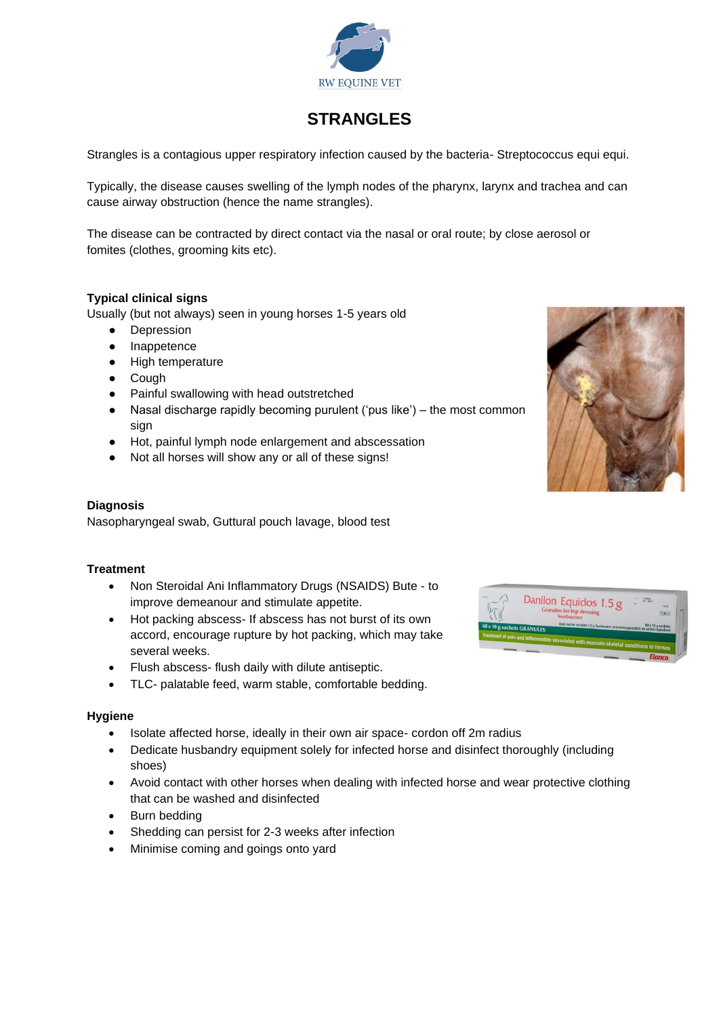

# **STRANGLES**

Strangles is a contagious upper respiratory infection caused by the bacteria- Streptococcus equi equi.

Typically, the disease causes swelling of the lymph nodes of the pharynx, larynx and trachea and can cause airway obstruction (hence the name strangles).

The disease can be contracted by direct contact via the nasal or oral route; by close aerosol or fomites (clothes, grooming kits etc).

#### **Typical clinical signs**

Usually (but not always) seen in young horses 1-5 years old

- Depression
- Inappetence
- High temperature
- Cough
- Painful swallowing with head outstretched
- Nasal discharge rapidly becoming purulent ('pus like') the most common sian
- Hot, painful lymph node enlargement and abscessation
- Not all horses will show any or all of these signs!

#### **Diagnosis**

Nasopharyngeal swab, Guttural pouch lavage, blood test

#### **Treatment**

- Non Steroidal Ani Inflammatory Drugs (NSAIDS) Bute to improve demeanour and stimulate appetite.
- Hot packing abscess- If abscess has not burst of its own accord, encourage rupture by hot packing, which may take several weeks.
- Flush abscess- flush daily with dilute antiseptic.
- TLC- palatable feed, warm stable, comfortable bedding.

#### **Hygiene**

- Isolate affected horse, ideally in their own air space- cordon off 2m radius
- Dedicate husbandry equipment solely for infected horse and disinfect thoroughly (including shoes)
- Avoid contact with other horses when dealing with infected horse and wear protective clothing that can be washed and disinfected
- Burn bedding
- Shedding can persist for 2-3 weeks after infection
- Minimise coming and goings onto yard